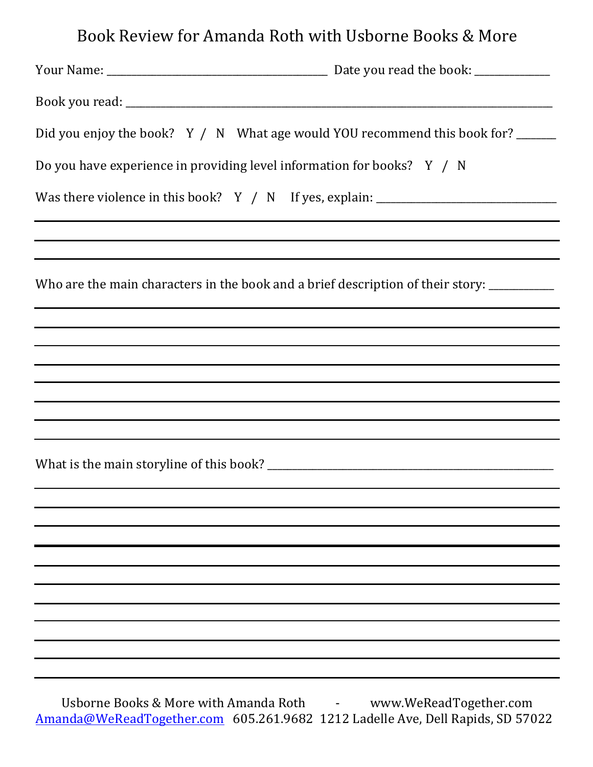## Book Review for Amanda Roth with Usborne Books & More

| Did you enjoy the book? Y / N What age would YOU recommend this book for?                                              |  |
|------------------------------------------------------------------------------------------------------------------------|--|
| Do you have experience in providing level information for books? Y / N                                                 |  |
| Was there violence in this book? Y / N If yes, explain: ________________________                                       |  |
|                                                                                                                        |  |
| Who are the main characters in the book and a brief description of their story: __________                             |  |
|                                                                                                                        |  |
|                                                                                                                        |  |
| ,我们也不会有什么。""我们的人,我们也不会有什么?""我们的人,我们也不会有什么?""我们的人,我们也不会有什么?""我们的人,我们也不会有什么?""我们的人                                       |  |
| <u> 1989 - Andrea San Andrea San Andrea San Andrea San Andrea San Andrea San Andrea San Andrea San Andrea San Andr</u> |  |
| ,我们也不会有什么。""我们的人,我们也不会有什么?""我们的人,我们也不会有什么?""我们的人,我们也不会有什么?""我们的人,我们也不会有什么?""我们的人                                       |  |
| ,我们也不会有什么。""我们的人,我们也不会有什么?""我们的人,我们也不会有什么?""我们的人,我们也不会有什么?""我们的人,我们也不会有什么?""我们的人                                       |  |
|                                                                                                                        |  |
|                                                                                                                        |  |
|                                                                                                                        |  |
|                                                                                                                        |  |
|                                                                                                                        |  |
|                                                                                                                        |  |
|                                                                                                                        |  |
|                                                                                                                        |  |
|                                                                                                                        |  |
|                                                                                                                        |  |
|                                                                                                                        |  |

Usborne Books & More with Amanda Roth **Fig. 2.1 Except We**ReadTogether.com Amanda@WeReadTogether.com 605.261.9682 1212 Ladelle Ave, Dell Rapids, SD 57022